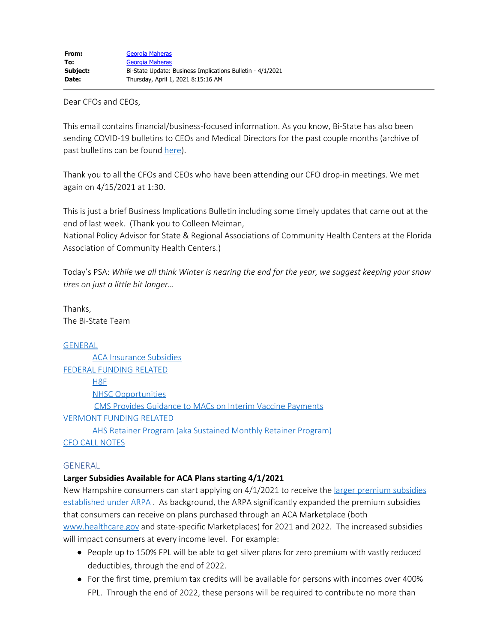Dear CFOs and CEOs,

This email contains financial/business-focused information. As you know, Bi-State has also been sending COVID-19 bulletins to CEOs and Medical Directors for the past couple months (archive of past bulletins can be found [here](https://bistatepca.org/health-center-resources/covid-bulletins-resources/bi-state-covid-19-bulletins)).

Thank you to all the CFOs and CEOs who have been attending our CFO drop-in meetings. We met again on 4/15/2021 at 1:30.

This is just a brief Business Implications Bulletin including some timely updates that came out at the end of last week. (Thank you to Colleen Meiman,

National Policy Advisor for State & Regional Associations of Community Health Centers at the Florida Association of Community Health Centers.)

Today's PSA: *While we all think Winter is nearing the end for the year, we suggest keeping your snow tires on just a little bit longer…*

Thanks, The Bi-State Team

## [GENERAL](#page-0-0)

[ACA Insurance Subsidies](#page-0-1) [FEDERAL FUNDING RELATED](#page-1-0) H8F [NHSC Opportunities](#page-2-0) [CMS Provides Guidance to MACs on Interim Vaccine Payments](#page-2-1) [VERMONT FUNDING RELATED](#page-2-2) [AHS Retainer Program \(aka Sustained Monthly Retainer Program\)](#page-2-3) [CFO CALL NOTES](#page-3-0)

#### <span id="page-0-0"></span>GENERAL

## <span id="page-0-1"></span>**Larger Subsidies Available for ACA Plans starting 4/1/2021**

New Hampshire consumers can start applying on 4/1/2021 to receive the [larger premium subsidies](https://www.healthcare.gov/more-savings/) [established under ARPA](https://www.healthcare.gov/more-savings/) . As background, the ARPA significantly expanded the premium subsidies that consumers can receive on plans purchased through an ACA Marketplace (both [www.healthcare.gov](http://www.healthcare.gov/) and state-specific Marketplaces) for 2021 and 2022. The increased subsidies will impact consumers at every income level. For example:

- People up to 150% FPL will be able to get silver plans for zero premium with vastly reduced deductibles, through the end of 2022.
- For the first time, premium tax credits will be available for persons with incomes over 400% FPL. Through the end of 2022, these persons will be required to contribute no more than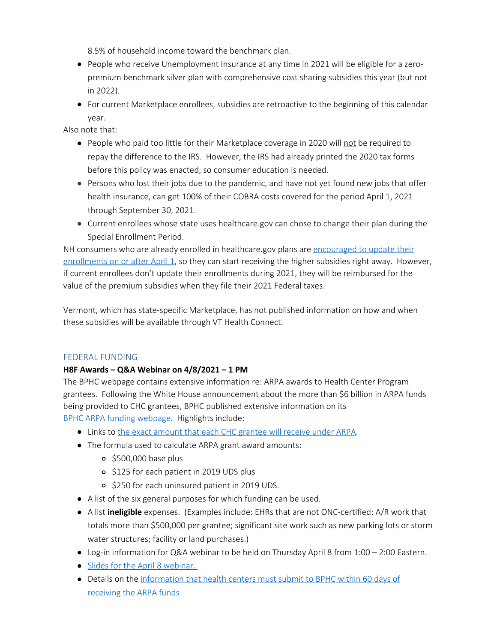8.5% of household income toward the benchmark plan.

- People who receive Unemployment Insurance at any time in 2021 will be eligible for a zeropremium benchmark silver plan with comprehensive cost sharing subsidies this year (but not in 2022).
- For current Marketplace enrollees, subsidies are retroactive to the beginning of this calendar year.

Also note that:

- People who paid too little for their Marketplace coverage in 2020 will not be required to repay the difference to the IRS. However, the IRS had already printed the 2020 tax forms before this policy was enacted, so consumer education is needed.
- Persons who lost their jobs due to the pandemic, and have not yet found new jobs that offer health insurance, can get 100% of their COBRA costs covered for the period April 1, 2021 through September 30, 2021.
- Current enrollees whose state uses healthcare.gov can chose to change their plan during the Special Enrollment Period.

NH consumers who are already enrolled in healthcare.gov plans are [encouraged to update their](https://www.healthcare.gov/more-savings/) [enrollments on or after April 1](https://www.healthcare.gov/more-savings/), so they can start receiving the higher subsidies right away. However, if current enrollees don't update their enrollments during 2021, they will be reimbursed for the value of the premium subsidies when they file their 2021 Federal taxes.

Vermont, which has state-specific Marketplace, has not published information on how and when these subsidies will be available through VT Health Connect.

# <span id="page-1-0"></span>FEDERAL FUNDING

## **H8F Awards – Q&A Webinar on 4/8/2021 – 1 PM**

The BPHC webpage contains extensive information re: ARPA awards to Health Center Program grantees. Following the White House announcement about the more than \$6 billion in ARPA funds being provided to CHC grantees, BPHC published extensive information on its [BPHC ARPA funding webpage](https://bphc.hrsa.gov/program-opportunities/american-rescue-plan/award-submission). Highlights include:

- Links to [the exact amount that each CHC grantee will receive under ARPA](https://bphc.hrsa.gov/program-opportunities/american-rescue-plan/awards).
- The formula used to calculate ARPA grant award amounts:
	- $\circ$  \$500,000 base plus
	- o \$125 for each patient in 2019 UDS plus
	- o \$250 for each uninsured patient in 2019 UDS.
- A list of the six general purposes for which funding can be used.
- A list **ineligible** expenses. (Examples include: EHRs that are not ONC-certified: A/R work that totals more than \$500,000 per grantee; significant site work such as new parking lots or storm water structures; facility or land purchases.)
- Log-in information for Q&A webinar to be held on Thursday April 8 from 1:00 2:00 Eastern.
- **Slides for the April 8 webinar.**
- Details on the [information that health centers must submit to BPHC within 60 days of](https://bphc.hrsa.gov/program-opportunities/american-rescue-plan/award-submission) [receiving the ARPA funds](https://bphc.hrsa.gov/program-opportunities/american-rescue-plan/award-submission)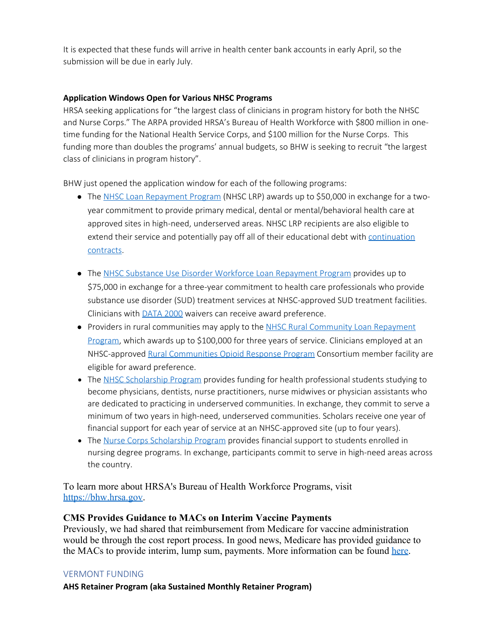It is expected that these funds will arrive in health center bank accounts in early April, so the submission will be due in early July.

## <span id="page-2-0"></span>**Application Windows Open for Various NHSC Programs**

HRSA seeking applications for "the largest class of clinicians in program history for both the NHSC and Nurse Corps." The ARPA provided HRSA's Bureau of Health Workforce with \$800 million in onetime funding for the National Health Service Corps, and \$100 million for the Nurse Corps. This funding more than doubles the programs' annual budgets, so BHW is seeking to recruit "the largest class of clinicians in program history".

BHW just opened the application window for each of the following programs:

- The [NHSC Loan Repayment Program](https://lnks.gd/l/eyJhbGciOiJIUzI1NiJ9.eyJidWxsZXRpbl9saW5rX2lkIjoxMDUsInVyaSI6ImJwMjpjbGljayIsImJ1bGxldGluX2lkIjoiMjAyMTAzMjYuMzc3NjM5NTEiLCJ1cmwiOiJodHRwczovL25oc2MuaHJzYS5nb3YvbG9hbi1yZXBheW1lbnQvbmhzYy1sb2FuLXJlcGF5bWVudC1wcm9ncmFtLmh0bWwifQ.nlohezOYJH25DnYg0qwxnktHR_TV-WJPjbgbG4ch6Fc/s/1418392526/br/100714607518-l) (NHSC LRP) awards up to \$50,000 in exchange for a twoyear commitment to provide primary medical, dental or mental/behavioral health care at approved sites in high-need, underserved areas. NHSC LRP recipients are also eligible to extend their service and potentially pay off all of their educational debt with [continuation](https://lnks.gd/l/eyJhbGciOiJIUzI1NiJ9.eyJidWxsZXRpbl9saW5rX2lkIjoxMDYsInVyaSI6ImJwMjpjbGljayIsImJ1bGxldGluX2lkIjoiMjAyMTAzMjYuMzc3NjM5NTEiLCJ1cmwiOiJodHRwczovL25oc2MuaHJzYS5nb3YvbG9hbi1yZXBheW1lbnQvY29udGludWF0aW9uLWNvbnRyYWN0Lmh0bWwifQ.ETRtpV90NRpOjxSsq8zlWXBWwySyJDrt9BuGO_lGXCs/s/1418392526/br/100714607518-l) [contracts](https://lnks.gd/l/eyJhbGciOiJIUzI1NiJ9.eyJidWxsZXRpbl9saW5rX2lkIjoxMDYsInVyaSI6ImJwMjpjbGljayIsImJ1bGxldGluX2lkIjoiMjAyMTAzMjYuMzc3NjM5NTEiLCJ1cmwiOiJodHRwczovL25oc2MuaHJzYS5nb3YvbG9hbi1yZXBheW1lbnQvY29udGludWF0aW9uLWNvbnRyYWN0Lmh0bWwifQ.ETRtpV90NRpOjxSsq8zlWXBWwySyJDrt9BuGO_lGXCs/s/1418392526/br/100714607518-l).
- The [NHSC Substance Use Disorder Workforce Loan Repayment Program](https://lnks.gd/l/eyJhbGciOiJIUzI1NiJ9.eyJidWxsZXRpbl9saW5rX2lkIjoxMDcsInVyaSI6ImJwMjpjbGljayIsImJ1bGxldGluX2lkIjoiMjAyMTAzMjYuMzc3NjM5NTEiLCJ1cmwiOiJodHRwczovL25oc2MuaHJzYS5nb3YvbG9hbi1yZXBheW1lbnQvc3VkLXdvcmtmb3JjZS1hd2FyZHMuaHRtbCJ9.p2CArk1z6Dww4kFe6uZiOtGKnsEatdEpY8RoU9yHdTM/s/1418392526/br/100714607518-l) provides up to \$75,000 in exchange for a three-year commitment to health care professionals who provide substance use disorder (SUD) treatment services at NHSC-approved SUD treatment facilities. Clinicians with [DATA 2000](https://lnks.gd/l/eyJhbGciOiJIUzI1NiJ9.eyJidWxsZXRpbl9saW5rX2lkIjoxMDgsInVyaSI6ImJwMjpjbGljayIsImJ1bGxldGluX2lkIjoiMjAyMTAzMjYuMzc3NjM5NTEiLCJ1cmwiOiJodHRwczovL3d3dy5zYW1oc2EuZ292L21lZGljYXRpb24tYXNzaXN0ZWQtdHJlYXRtZW50L3N0YXR1dGVzLXJlZ3VsYXRpb25zLWd1aWRlbGluZXMjREFUQS0yMDAwIn0.rTMew6KeJSDfb0iaYsTbybijiAZPUiU0eK4t3XsH-jw/s/1418392526/br/100714607518-l) waivers can receive award preference.
- Providers in rural communities may apply to the [NHSC Rural Community Loan Repayment](https://lnks.gd/l/eyJhbGciOiJIUzI1NiJ9.eyJidWxsZXRpbl9saW5rX2lkIjoxMDksInVyaSI6ImJwMjpjbGljayIsImJ1bGxldGluX2lkIjoiMjAyMTAzMjYuMzc3NjM5NTEiLCJ1cmwiOiJodHRwczovL25oc2MuaHJzYS5nb3YvbG9hbi1yZXBheW1lbnQvbmhzYy1ydXJhbC1jb21tdW5pdHktbG9hbi1yZXBheW1lbnQtcHJvZ3JhbSJ9.rn2sHYNXeKm_0Dhh3F6HQQsl9exYfjp00bj7u3y5aGk/s/1418392526/br/100714607518-l) [Program](https://lnks.gd/l/eyJhbGciOiJIUzI1NiJ9.eyJidWxsZXRpbl9saW5rX2lkIjoxMDksInVyaSI6ImJwMjpjbGljayIsImJ1bGxldGluX2lkIjoiMjAyMTAzMjYuMzc3NjM5NTEiLCJ1cmwiOiJodHRwczovL25oc2MuaHJzYS5nb3YvbG9hbi1yZXBheW1lbnQvbmhzYy1ydXJhbC1jb21tdW5pdHktbG9hbi1yZXBheW1lbnQtcHJvZ3JhbSJ9.rn2sHYNXeKm_0Dhh3F6HQQsl9exYfjp00bj7u3y5aGk/s/1418392526/br/100714607518-l), which awards up to \$100,000 for three years of service. Clinicians employed at an NHSC-approved [Rural Communities Opioid Response Program](https://lnks.gd/l/eyJhbGciOiJIUzI1NiJ9.eyJidWxsZXRpbl9saW5rX2lkIjoxMTAsInVyaSI6ImJwMjpjbGljayIsImJ1bGxldGluX2lkIjoiMjAyMTAzMjYuMzc3NjM5NTEiLCJ1cmwiOiJodHRwczovL3d3dy5ocnNhLmdvdi9ydXJhbC1oZWFsdGgvcmNvcnAifQ.loONX4wiJXklCS-nDXdZ5y6Hy3J97_bqm0Gk3j_KFsk/s/1418392526/br/100714607518-l) Consortium member facility are eligible for award preference.
- The [NHSC Scholarship Program](https://lnks.gd/l/eyJhbGciOiJIUzI1NiJ9.eyJidWxsZXRpbl9saW5rX2lkIjoxMTEsInVyaSI6ImJwMjpjbGljayIsImJ1bGxldGluX2lkIjoiMjAyMTAzMjYuMzc3NjM5NTEiLCJ1cmwiOiJodHRwczovL25oc2MuaHJzYS5nb3Yvc2Nob2xhcnNoaXBzL2hvdy10by1hcHBseS5odG1sIn0.fChCw11SPQ9wI3dGipHzHuj71VPzHPMgqI5DmJLmpbw/s/1418392526/br/100714607518-l) provides funding for health professional students studying to become physicians, dentists, nurse practitioners, nurse midwives or physician assistants who are dedicated to practicing in underserved communities. In exchange, they commit to serve a minimum of two years in high-need, underserved communities. Scholars receive one year of financial support for each year of service at an NHSC-approved site (up to four years).
- The [Nurse Corps Scholarship Program](https://lnks.gd/l/eyJhbGciOiJIUzI1NiJ9.eyJidWxsZXRpbl9saW5rX2lkIjoxMTIsInVyaSI6ImJwMjpjbGljayIsImJ1bGxldGluX2lkIjoiMjAyMTAzMjYuMzc3NjM5NTEiLCJ1cmwiOiJodHRwczovL2Jody5ocnNhLmdvdi9mdW5kaW5nL2FwcGx5LXNjaG9sYXJzaGlwL251cnNlLWNvcnBzIn0.c3mgkH8jMvgXHPPcE12NzC8Sg6h_a1CrMNYfso30l_M/s/1418392526/br/100714607518-l) provides financial support to students enrolled in nursing degree programs. In exchange, participants commit to serve in high-need areas across the country.

To learn more about HRSA's Bureau of Health Workforce Programs, visit [https://bhw.hrsa.gov.](https://lnks.gd/l/eyJhbGciOiJIUzI1NiJ9.eyJidWxsZXRpbl9saW5rX2lkIjoxMTMsInVyaSI6ImJwMjpjbGljayIsImJ1bGxldGluX2lkIjoiMjAyMTAzMjYuMzc3NjM5NTEiLCJ1cmwiOiJodHRwczovL2Jody5ocnNhLmdvdiJ9.sNaPfS8AWvFbVF2-OrF_3NcvUazlnlcFwRVo7YvpndY/s/1418392526/br/100714607518-l)

#### <span id="page-2-1"></span>**CMS Provides Guidance to MACs on Interim Vaccine Payments**

Previously, we had shared that reimbursement from Medicare for vaccine administration would be through the cost report process. In good news, Medicare has provided guidance to the MACs to provide interim, lump sum, payments. More information can be found [here](https://www.ngsmedicare.com/ngs/portal/ngsmedicare/newngs/home-lob/news-alerts/news-articles/news-detail/covid-19%20-%20rhc%20and%20fqhc%20lump%20sum%20payments/!ut/p/z1/pVFta4MwEP5F4RKTqf14vrRdZdoxMpt8GWp0yFZbylDWX78MxmCVamH37bjnjedAww50V_Tta_HRHrri3e5Kuy8C72PGQppk_ppSTCIUmK64LxnkFwCe-RTFMoiixy1fBQ7oP-cwRnuOUjfFJcvo3Q-fXhmkt_EnAHo6_zOoAFQRmuE0jMRGaD2dNQd94TeuY05D2Qze1QzMNt639QCyO5z29kFP34rHqjWgqkVdVbXLiUsbQ4THfbIQtCbGKY0nSs8pywbWsw78nw6bucrz8LdwzeC4l1J2n-SteYi5UJv-nOAX0fQ6IA!!/dz/d5/L2dBISEvZ0FBIS9nQSEh/?LOB=FQHC&LOC=Washington%20D.C.&ngsLOC=Washington%20D.C.&ngsLOB=FQHC&jurisdiction=Jurisdiction%206).

#### <span id="page-2-2"></span>VERMONT FUNDING

<span id="page-2-3"></span>**AHS Retainer Program (aka Sustained Monthly Retainer Program)**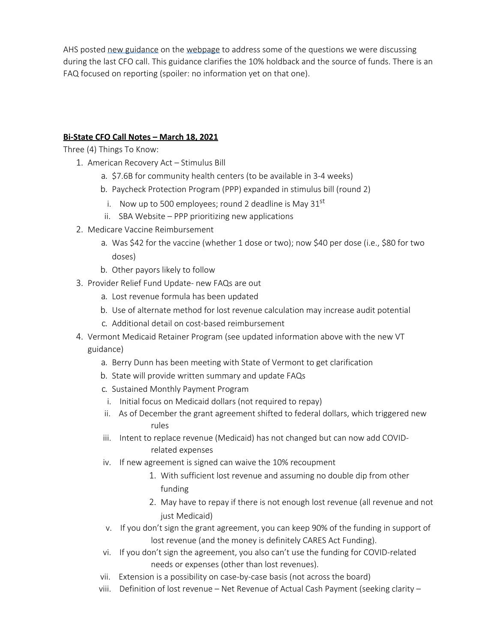AHS posted [new guidance](https://dvha.vermont.gov/sites/dvha/files/documents/News/HCS_Post%20Award%20Guidance_FINAL.pdf) on the [webpage](https://dvha.vermont.gov/health-care-provider-stabilization-grant-program) to address some of the questions we were discussing during the last CFO call. This guidance clarifies the 10% holdback and the source of funds. There is an FAQ focused on reporting (spoiler: no information yet on that one).

## <span id="page-3-0"></span>**Bi-State CFO Call Notes – March 18, 2021**

Three (4) Things To Know:

- 1. American Recovery Act Stimulus Bill
	- a. \$7.6B for community health centers (to be available in 3-4 weeks)
	- b. Paycheck Protection Program (PPP) expanded in stimulus bill (round 2)
		- i. Now up to 500 employees; round 2 deadline is May  $31<sup>st</sup>$
	- ii. SBA Website PPP prioritizing new applications
- 2. Medicare Vaccine Reimbursement
	- a. Was \$42 for the vaccine (whether 1 dose or two); now \$40 per dose (i.e., \$80 for two doses)
	- b. Other payors likely to follow
- 3. Provider Relief Fund Update- new FAQs are out
	- a. Lost revenue formula has been updated
	- b. Use of alternate method for lost revenue calculation may increase audit potential
	- c. Additional detail on cost-based reimbursement
- 4. Vermont Medicaid Retainer Program (see updated information above with the new VT guidance)
	- a. Berry Dunn has been meeting with State of Vermont to get clarification
	- b. State will provide written summary and update FAQs
	- c. Sustained Monthly Payment Program
	- i. Initial focus on Medicaid dollars (not required to repay)
	- ii. As of December the grant agreement shifted to federal dollars, which triggered new rules
	- iii. Intent to replace revenue (Medicaid) has not changed but can now add COVIDrelated expenses
	- iv. If new agreement is signed can waive the 10% recoupment
		- 1. With sufficient lost revenue and assuming no double dip from other funding
		- 2. May have to repay if there is not enough lost revenue (all revenue and not just Medicaid)
	- v. If you don't sign the grant agreement, you can keep 90% of the funding in support of lost revenue (and the money is definitely CARES Act Funding).
	- vi. If you don't sign the agreement, you also can't use the funding for COVID-related needs or expenses (other than lost revenues).
	- vii. Extension is a possibility on case-by-case basis (not across the board)
	- viii. Definition of lost revenue Net Revenue of Actual Cash Payment (seeking clarity –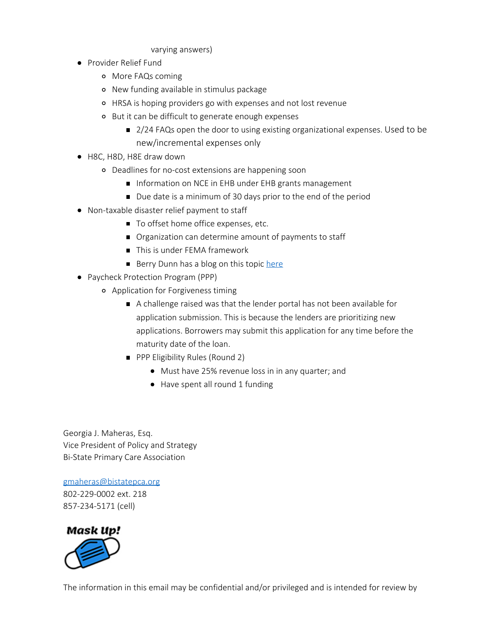#### varying answers)

- Provider Relief Fund
	- More FAQs coming
	- New funding available in stimulus package
	- HRSA is hoping providers go with expenses and not lost revenue
	- But it can be difficult to generate enough expenses
		- 2/24 FAQs open the door to using existing organizational expenses. Used to be new/incremental expenses only
- H8C, H8D, H8E draw down
	- Deadlines for no-cost extensions are happening soon
		- **Information on NCE in EHB under EHB grants management**
		- Due date is a minimum of 30 days prior to the end of the period
- Non-taxable disaster relief payment to staff
	- To offset home office expenses, etc.
	- Organization can determine amount of payments to staff
	- This is under FEMA framework
	- Berry Dunn has a blog on this topic [here](https://www.berrydunn.com/news-detail/covid-19-and-section-139-tax-free-payments-or-reimbursements-to-employees)
- Paycheck Protection Program (PPP)
	- Application for Forgiveness timing
		- A challenge raised was that the lender portal has not been available for application submission. This is because the lenders are prioritizing new applications. Borrowers may submit this application for any time before the maturity date of the loan.
		- **PPP Eligibility Rules (Round 2)** 
			- Must have 25% revenue loss in in any quarter; and
			- Have spent all round 1 funding

Georgia J. Maheras, Esq. Vice President of Policy and Strategy Bi-State Primary Care Association

[gmaheras@bistatepca.org](mailto:gmaheras@bistatepca.org) 802-229-0002 ext. 218 857-234-5171 (cell)



The information in this email may be confidential and/or privileged and is intended for review by